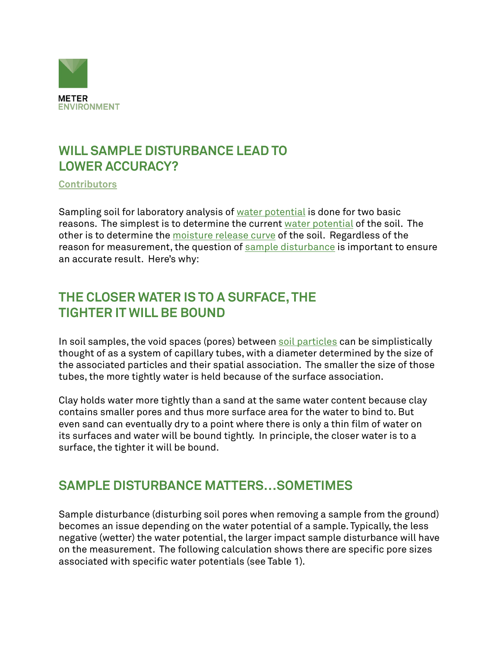

### **WILL SAMPLE DISTURBANCE LEAD TO LOWER ACCURACY?**

**[Contributors](https://www.metergroup.com/meter_knowledgebase/about-us-meter-environment/)**

Sampling soil for laboratory analysis of [water potential](https://www.metergroup.com/meter_knowledgebase/measure-water-potential/) is done for two basic reasons. The simplest is to determine the current [water potential](https://www.metergroup.com/environment/events/water-potential-101-making-use-important-tool/) of the soil. The other is to determine the [moisture release curve](https://www.metergroup.com/environment/articles/create-full-moisture-release-curve-using-wp4c-hyprop/) of the soil. Regardless of the reason for measurement, the question of [sample disturbance](http://www.metergroup.com/environment/articles/Effects-Sample-Disturbance-Soil-Water-Potential-Measurements-WP4C) is important to ensure an accurate result. Here's why:

### **THE CLOSER WATER IS TO A SURFACE, THE TIGHTER IT WILL BE BOUND**

In soil samples, the void spaces (pores) between [soil particles](https://www.metergroup.com/environment/products/pario/) can be simplistically thought of as a system of capillary tubes, with a diameter determined by the size of the associated particles and their spatial association. The smaller the size of those tubes, the more tightly water is held because of the surface association.

Clay holds water more tightly than a sand at the same water content because clay contains smaller pores and thus more surface area for the water to bind to. But even sand can eventually dry to a point where there is only a thin film of water on its surfaces and water will be bound tightly. In principle, the closer water is to a surface, the tighter it will be bound.

#### **SAMPLE DISTURBANCE MATTERS…SOMETIMES**

Sample disturbance (disturbing soil pores when removing a sample from the ground) becomes an issue depending on the water potential of a sample. Typically, the less negative (wetter) the water potential, the larger impact sample disturbance will have on the measurement. The following calculation shows there are specific pore sizes associated with specific water potentials (see Table 1).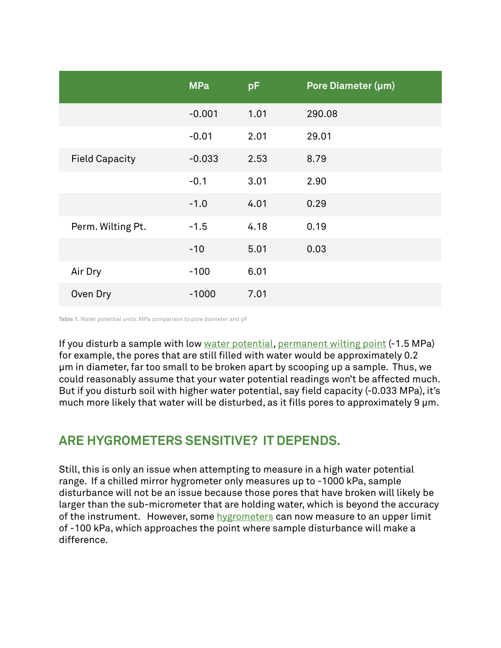|                       | <b>MPa</b> | pF   | Pore Diameter (µm) |
|-----------------------|------------|------|--------------------|
|                       | $-0.001$   | 1.01 | 290.08             |
|                       | $-0.01$    | 2.01 | 29.01              |
| <b>Field Capacity</b> | $-0.033$   | 2.53 | 8.79               |
|                       | $-0.1$     | 3.01 | 2.90               |
|                       | $-1.0$     | 4.01 | 0.29               |
| Perm. Wilting Pt.     | $-1.5$     | 4.18 | 0.19               |
|                       | $-10$      | 5.01 | 0.03               |
| Air Dry               | $-100$     | 6.01 |                    |
| Oven Dry              | $-1000$    | 7.01 |                    |

**Table 1.** Water potential units: MPa comparison to pore diameter and pF

If you disturb a sample with low [water potential,](https://www.metergroup.com/meter_knowledgebase/defining-water-potential/) [permanent wilting point](https://www.metergroup.com/environment/articles/determining-permanent-wilt-water-content-with-wp4c/) (-1.5 MPa) for example, the pores that are still filled with water would be approximately 0.2 μm in diameter, far too small to be broken apart by scooping up a sample. Thus, we could reasonably assume that your water potential readings won't be affected much. But if you disturb soil with higher water potential, say field capacity (-0.033 MPa), it's much more likely that water will be disturbed, as it fills pores to approximately 9 μm.

#### **ARE HYGROMETERS SENSITIVE? IT DEPENDS.**

Still, this is only an issue when attempting to measure in a high water potential range. If a chilled mirror hygrometer only measures up to -1000 kPa, sample disturbance will not be an issue because those pores that have broken will likely be larger than the sub-micrometer that are holding water, which is beyond the accuracy of the instrument. However, some [hygrometers](https://www.metergroup.com/meter_products/wp4c/) can now measure to an upper limit of -100 kPa, which approaches the point where sample disturbance will make a difference.